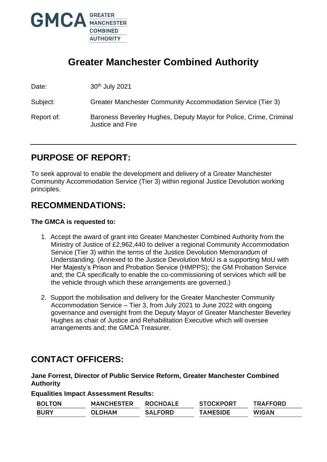

# **Greater Manchester Combined Authority**

Date: 30<sup>th</sup> July 2021

Subject: Greater Manchester Community Accommodation Service (Tier 3)

## Report of: Baroness Beverley Hughes, Deputy Mayor for Police, Crime, Criminal Justice and Fire

# **PURPOSE OF REPORT:**

To seek approval to enable the development and delivery of a Greater Manchester Community Accommodation Service (Tier 3) within regional Justice Devolution working principles.

## **RECOMMENDATIONS:**

## **The GMCA is requested to:**

- 1. Accept the award of grant into Greater Manchester Combined Authority from the Ministry of Justice of £2,962,440 to deliver a regional Community Accommodation Service (Tier 3) within the terms of the Justice Devolution Memorandum of Understanding. (Annexed to the Justice Devolution MoU is a supporting MoU with Her Majesty's Prison and Probation Service (HMPPS); the GM Probation Service and; the CA specifically to enable the co-commissioning of services which will be the vehicle through which these arrangements are governed.)
- 2. Support the mobilisation and delivery for the Greater Manchester Community Accommodation Service – Tier 3, from July 2021 to June 2022 with ongoing governance and oversight from the Deputy Mayor of Greater Manchester Beverley Hughes as chair of Justice and Rehabilitation Executive which will oversee arrangements and; the GMCA Treasurer.

## **CONTACT OFFICERS:**

**Jane Forrest, Director of Public Service Reform, Greater Manchester Combined Authority** 

**Equalities Impact Assessment Results:**

| <b>BOLTON</b> | <b>MANCHESTER</b> | <b>ROCHDALE</b> | <b>STOCKPORT</b> | <b>TRAFFORD</b> |
|---------------|-------------------|-----------------|------------------|-----------------|
| <b>BURY</b>   | <b>OLDHAM</b>     | <b>SALFORD</b>  | <b>TAMESIDE</b>  | <b>WIGAN</b>    |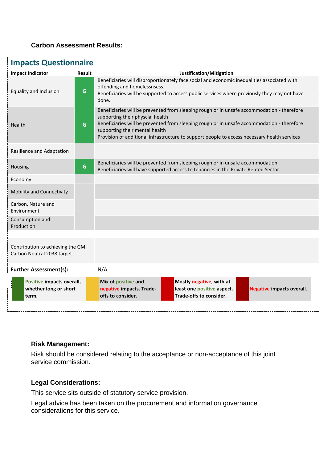## **Carbon Assessment Results:**

| <b>Impacts Questionnaire</b>                                   |        |                                                                                                                                                                                                                                                                                                                                                                |                                                                                   |                                  |
|----------------------------------------------------------------|--------|----------------------------------------------------------------------------------------------------------------------------------------------------------------------------------------------------------------------------------------------------------------------------------------------------------------------------------------------------------------|-----------------------------------------------------------------------------------|----------------------------------|
| <b>Impact Indicator</b>                                        | Result | Justification/Mitigation                                                                                                                                                                                                                                                                                                                                       |                                                                                   |                                  |
| Equality and Inclusion                                         | G      | Beneficiaries will disproportionately face social and economic inequalities associated with<br>offending and homelessnsess.<br>Beneficiaries will be supported to access public services where previously they may not have<br>done.                                                                                                                           |                                                                                   |                                  |
| Health                                                         | G      | Beneficiaries will be prevented from sleeping rough or in unsafe accommodation - therefore<br>supporting their physcial health<br>Beneficiaries will be prevented from sleeping rough or in unsafe accommodation - therefore<br>supporting their mental health<br>Provision of additional infrastructure to support people to access necessary health services |                                                                                   |                                  |
| Resilience and Adaptation                                      |        |                                                                                                                                                                                                                                                                                                                                                                |                                                                                   |                                  |
| Housing                                                        | G      | Beneficiaries will be prevented from sleeping rough or in unsafe accommodation<br>Beneficiaries will have supported access to tenancies in the Private Rented Sector                                                                                                                                                                                           |                                                                                   |                                  |
| Economy                                                        |        |                                                                                                                                                                                                                                                                                                                                                                |                                                                                   |                                  |
| Mobility and Connectivity                                      |        |                                                                                                                                                                                                                                                                                                                                                                |                                                                                   |                                  |
| Carbon, Nature and<br>Environment                              |        |                                                                                                                                                                                                                                                                                                                                                                |                                                                                   |                                  |
| Consumption and<br>Production                                  |        |                                                                                                                                                                                                                                                                                                                                                                |                                                                                   |                                  |
|                                                                |        |                                                                                                                                                                                                                                                                                                                                                                |                                                                                   |                                  |
| Contribution to achieving the GM<br>Carbon Neutral 2038 target |        |                                                                                                                                                                                                                                                                                                                                                                |                                                                                   |                                  |
| <b>Further Assessment(s):</b>                                  |        | N/A                                                                                                                                                                                                                                                                                                                                                            |                                                                                   |                                  |
| Positive impacts overall,<br>whether long or short<br>term.    |        | Mix of positive and<br>negative impacts. Trade-<br>offs to consider.                                                                                                                                                                                                                                                                                           | Mostly negative, with at<br>least one positive aspect.<br>Trade-offs to consider. | <b>Negative impacts overall.</b> |
|                                                                |        |                                                                                                                                                                                                                                                                                                                                                                |                                                                                   |                                  |

#### **Risk Management:**

Risk should be considered relating to the acceptance or non-acceptance of this joint service commission.

## **Legal Considerations:**

This service sits outside of statutory service provision.

Legal advice has been taken on the procurement and information governance considerations for this service.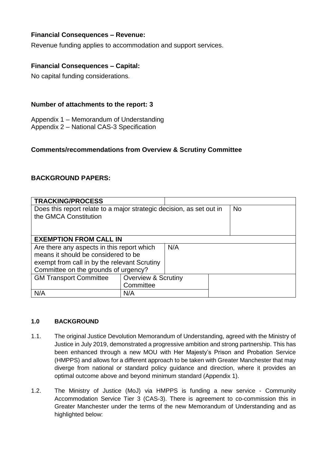## **Financial Consequences – Revenue:**

Revenue funding applies to accommodation and support services.

#### **Financial Consequences – Capital:**

No capital funding considerations*.* 

#### **Number of attachments to the report: 3**

Appendix 1 – Memorandum of Understanding

Appendix 2 – National CAS-3 Specification

#### **Comments/recommendations from Overview & Scrutiny Committee**

### **BACKGROUND PAPERS:**

| <b>TRACKING/PROCESS</b>                                              |                                |  |  |           |  |
|----------------------------------------------------------------------|--------------------------------|--|--|-----------|--|
| Does this report relate to a major strategic decision, as set out in |                                |  |  | <b>No</b> |  |
| the GMCA Constitution                                                |                                |  |  |           |  |
|                                                                      |                                |  |  |           |  |
|                                                                      |                                |  |  |           |  |
|                                                                      | <b>EXEMPTION FROM CALL IN</b>  |  |  |           |  |
| Are there any aspects in this report which<br>N/A                    |                                |  |  |           |  |
| means it should be considered to be                                  |                                |  |  |           |  |
| exempt from call in by the relevant Scrutiny                         |                                |  |  |           |  |
| Committee on the grounds of urgency?                                 |                                |  |  |           |  |
| <b>GM Transport Committee</b>                                        | <b>Overview &amp; Scrutiny</b> |  |  |           |  |
|                                                                      | Committee                      |  |  |           |  |
| N/A                                                                  | N/A                            |  |  |           |  |

#### **1.0 BACKGROUND**

- 1.1. The original Justice Devolution Memorandum of Understanding, agreed with the Ministry of Justice in July 2019, demonstrated a progressive ambition and strong partnership. This has been enhanced through a new MOU with Her Majesty's Prison and Probation Service (HMPPS) and allows for a different approach to be taken with Greater Manchester that may diverge from national or standard policy guidance and direction, where it provides an optimal outcome above and beyond minimum standard (Appendix 1).
- 1.2. The Ministry of Justice (MoJ) via HMPPS is funding a new service Community Accommodation Service Tier 3 (CAS-3). There is agreement to co-commission this in Greater Manchester under the terms of the new Memorandum of Understanding and as highlighted below: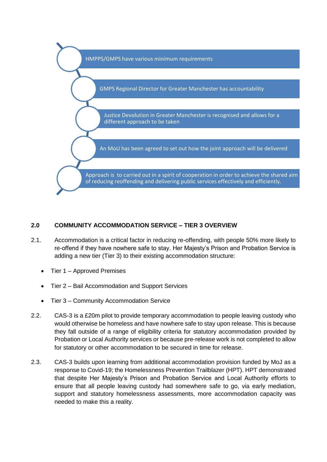

#### **2.0 COMMUNITY ACCOMMODATION SERVICE – TIER 3 OVERVIEW**

- 2.1. Accommodation is a critical factor in reducing re-offending, with people 50% more likely to re-offend if they have nowhere safe to stay. Her Majesty's Prison and Probation Service is adding a new tier (Tier 3) to their existing accommodation structure:
	- Tier 1 Approved Premises
	- Tier 2 Bail Accommodation and Support Services
	- Tier 3 Community Accommodation Service
- 2.2. CAS-3 is a £20m pilot to provide temporary accommodation to people leaving custody who would otherwise be homeless and have nowhere safe to stay upon release. This is because they fall outside of a range of eligibility criteria for statutory accommodation provided by Probation or Local Authority services or because pre-release work is not completed to allow for statutory or other accommodation to be secured in time for release.
- 2.3. CAS-3 builds upon learning from additional accommodation provision funded by MoJ as a response to Covid-19; the Homelessness Prevention Trailblazer (HPT). HPT demonstrated that despite Her Majesty's Prison and Probation Service and Local Authority efforts to ensure that all people leaving custody had somewhere safe to go, via early mediation, support and statutory homelessness assessments, more accommodation capacity was needed to make this a reality.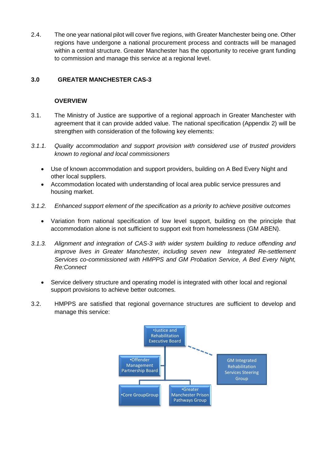2.4. The one year national pilot will cover five regions, with Greater Manchester being one. Other regions have undergone a national procurement process and contracts will be managed within a central structure. Greater Manchester has the opportunity to receive grant funding to commission and manage this service at a regional level.

## **3.0 GREATER MANCHESTER CAS-3**

#### **OVERVIEW**

- 3.1. The Ministry of Justice are supportive of a regional approach in Greater Manchester with agreement that it can provide added value. The national specification (Appendix 2) will be strengthen with consideration of the following key elements:
- *3.1.1. Quality accommodation and support provision with considered use of trusted providers known to regional and local commissioners* 
	- Use of known accommodation and support providers, building on A Bed Every Night and other local suppliers.
	- Accommodation located with understanding of local area public service pressures and housing market.
- *3.1.2. Enhanced support element of the specification as a priority to achieve positive outcomes* 
	- Variation from national specification of low level support, building on the principle that accommodation alone is not sufficient to support exit from homelessness (GM ABEN).
- *3.1.3. Alignment and integration of CAS-3 with wider system building to reduce offending and improve lives in Greater Manchester, including seven new Integrated Re-settlement Services co-commissioned with HMPPS and GM Probation Service, A Bed Every Night, Re:Connect*
	- Service delivery structure and operating model is integrated with other local and regional support provisions to achieve better outcomes.
- 3.2. HMPPS are satisfied that regional governance structures are sufficient to develop and manage this service:

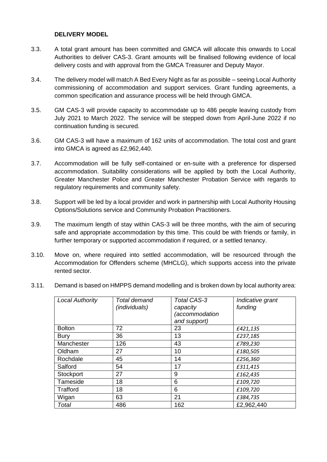#### **DELIVERY MODEL**

- 3.3. A total grant amount has been committed and GMCA will allocate this onwards to Local Authorities to deliver CAS-3. Grant amounts will be finalised following evidence of local delivery costs and with approval from the GMCA Treasurer and Deputy Mayor.
- 3.4. The delivery model will match A Bed Every Night as far as possible seeing Local Authority commissioning of accommodation and support services. Grant funding agreements, a common specification and assurance process will be held through GMCA.
- 3.5. GM CAS-3 will provide capacity to accommodate up to 486 people leaving custody from July 2021 to March 2022. The service will be stepped down from April-June 2022 if no continuation funding is secured.
- 3.6. GM CAS-3 will have a maximum of 162 units of accommodation. The total cost and grant into GMCA is agreed as £2,962,440.
- 3.7. Accommodation will be fully self-contained or en-suite with a preference for dispersed accommodation. Suitability considerations will be applied by both the Local Authority, Greater Manchester Police and Greater Manchester Probation Service with regards to regulatory requirements and community safety.
- 3.8. Support will be led by a local provider and work in partnership with Local Authority Housing Options/Solutions service and Community Probation Practitioners.
- 3.9. The maximum length of stay within CAS-3 will be three months, with the aim of securing safe and appropriate accommodation by this time. This could be with friends or family, in further temporary or supported accommodation if required, or a settled tenancy.
- 3.10. Move on, where required into settled accommodation, will be resourced through the Accommodation for Offenders scheme (MHCLG), which supports access into the private rented sector.
- 3.11. Demand is based on HMPPS demand modelling and is broken down by local authority area:

| <b>Local Authority</b> | <b>Total demand</b><br>(individuals) | <b>Total CAS-3</b><br>capacity<br>(accommodation<br>and support) | Indicative grant<br>funding |
|------------------------|--------------------------------------|------------------------------------------------------------------|-----------------------------|
| <b>Bolton</b>          | 72                                   | 23                                                               | £421,135                    |
| <b>Bury</b>            | 36                                   | 13                                                               | £237,185                    |
| Manchester             | 126                                  | 43                                                               | £789,230                    |
| Oldham                 | 27                                   | 10                                                               | £180,505                    |
| Rochdale               | 45                                   | 14                                                               | £256,360                    |
| Salford                | 54                                   | 17                                                               | £311,415                    |
| Stockport              | 27                                   | 9                                                                | £162,435                    |
| Tameside               | 18                                   | 6                                                                | £109,720                    |
| Trafford               | 18                                   | 6                                                                | £109,720                    |
| Wigan                  | 63                                   | 21                                                               | £384,735                    |
| Total                  | 486                                  | 162                                                              | £2,962,440                  |